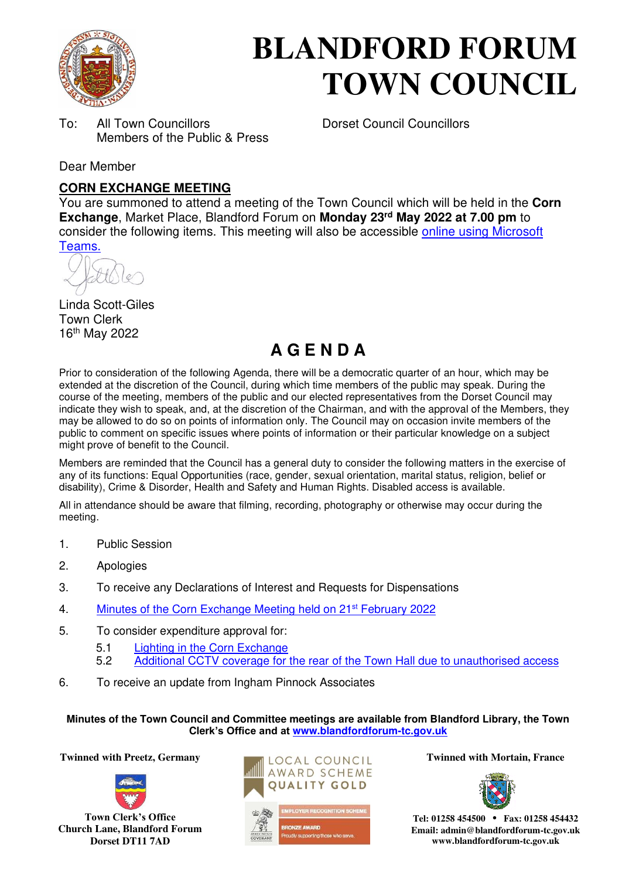

# **BLANDFORD FORUM TOWN COUNCIL**

To: All Town Councillors Dorset Council Councillors Members of the Public & Press

Dear Member

## **CORN EXCHANGE MEETING**

You are summoned to attend a meeting of the Town Council which will be held in the **Corn Exchange**, Market Place, Blandford Forum on **Monday 23rd May 2022 at 7.00 pm** to consider the following items. This meeting will also be accessible online using Microsoft Teams.

Linda Scott-Giles Town Clerk 16th May 2022

# **A G E N D A**

Prior to consideration of the following Agenda, there will be a democratic quarter of an hour, which may be extended at the discretion of the Council, during which time members of the public may speak. During the course of the meeting, members of the public and our elected representatives from the Dorset Council may indicate they wish to speak, and, at the discretion of the Chairman, and with the approval of the Members, they may be allowed to do so on points of information only. The Council may on occasion invite members of the public to comment on specific issues where points of information or their particular knowledge on a subject might prove of benefit to the Council.

Members are reminded that the Council has a general duty to consider the following matters in the exercise of any of its functions: Equal Opportunities (race, gender, sexual orientation, marital status, religion, belief or disability), Crime & Disorder, Health and Safety and Human Rights. Disabled access is available.

All in attendance should be aware that filming, recording, photography or otherwise may occur during the meeting.

- 1. Public Session
- 2. Apologies
- 3. To receive any Declarations of Interest and Requests for Dispensations
- 4. Minutes of the Corn Exchange Meeting held on 21<sup>st</sup> February 2022
- 5. To consider expenditure approval for:
	- 5.1 Lighting in the Corn Exchange
	- 5.2 Additional CCTV coverage for the rear of the Town Hall due to unauthorised access
- 6. To receive an update from Ingham Pinnock Associates

**Minutes of the Town Council and Committee meetings are available from Blandford Library, the Town Clerk's Office and at www.blandfordforum-tc.gov.uk**

**Twinned with Preetz, Germany Albems II INTERNATE:** Twinned with Mortain, France



**Town Clerk's Office Church Lane, Blandford Forum Dorset DT11 7AD**







**Tel: 01258 454500 • Fax: 01258 454432 Email: admin@blandfordforum-tc.gov.uk www.blandfordforum-tc.gov.uk**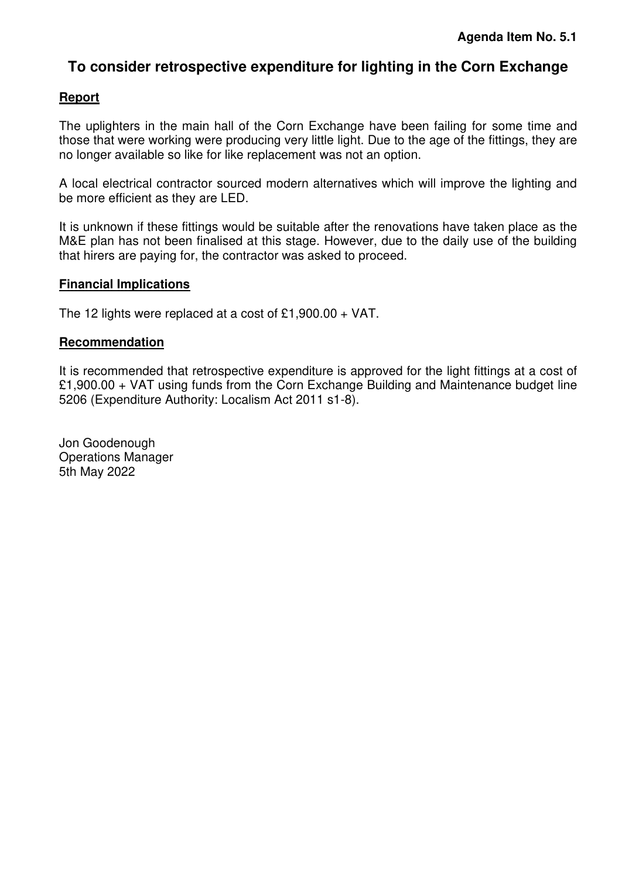# **To consider retrospective expenditure for lighting in the Corn Exchange**

#### **Report**

The uplighters in the main hall of the Corn Exchange have been failing for some time and those that were working were producing very little light. Due to the age of the fittings, they are no longer available so like for like replacement was not an option.

A local electrical contractor sourced modern alternatives which will improve the lighting and be more efficient as they are LED.

It is unknown if these fittings would be suitable after the renovations have taken place as the M&E plan has not been finalised at this stage. However, due to the daily use of the building that hirers are paying for, the contractor was asked to proceed.

#### **Financial Implications**

The 12 lights were replaced at a cost of £1,900.00 + VAT.

#### **Recommendation**

It is recommended that retrospective expenditure is approved for the light fittings at a cost of £1,900.00 + VAT using funds from the Corn Exchange Building and Maintenance budget line 5206 (Expenditure Authority: Localism Act 2011 s1-8).

Jon Goodenough Operations Manager 5th May 2022